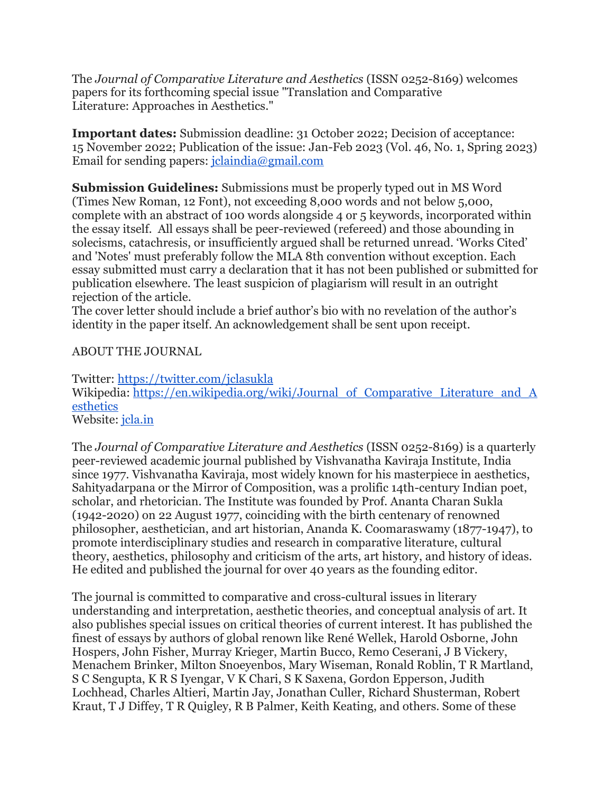The *Journal of Comparative Literature and Aesthetics* (ISSN 0252-8169) welcomes papers for its forthcoming special issue "Translation and Comparative Literature: Approaches in Aesthetics."

**Important dates:** Submission deadline: 31 October 2022; Decision of acceptance: 15 November 2022; Publication of the issue: Jan-Feb 2023 (Vol. 46, No. 1, Spring 2023) Email for sending papers: [jclaindia@gmail.com](mailto:jclaindia@gmail.com)

**Submission Guidelines:** Submissions must be properly typed out in MS Word (Times New Roman, 12 Font), not exceeding 8,000 words and not below 5,000, complete with an abstract of 100 words alongside 4 or 5 keywords, incorporated within the essay itself. All essays shall be peer-reviewed (refereed) and those abounding in solecisms, catachresis, or insufficiently argued shall be returned unread. 'Works Cited' and 'Notes' must preferably follow the MLA 8th convention without exception. Each essay submitted must carry a declaration that it has not been published or submitted for publication elsewhere. The least suspicion of plagiarism will result in an outright rejection of the article.

The cover letter should include a brief author's bio with no revelation of the author's identity in the paper itself. An acknowledgement shall be sent upon receipt.

## ABOUT THE JOURNAL

Twitter: <https://twitter.com/jclasukla> Wikipedia: [https://en.wikipedia.org/wiki/Journal\\_of\\_Comparative\\_Literature\\_and\\_A](https://en.wikipedia.org/wiki/Journal_of_Comparative_Literature_and_Aesthetics) [esthetics](https://en.wikipedia.org/wiki/Journal_of_Comparative_Literature_and_Aesthetics)

Website: *icla.in* 

The *Journal of Comparative Literature and Aesthetics* (ISSN 0252-8169) is a quarterly peer-reviewed academic journal published by Vishvanatha Kaviraja Institute, India since 1977. Vishvanatha Kaviraja, most widely known for his masterpiece in aesthetics, Sahityadarpana or the Mirror of Composition, was a prolific 14th-century Indian poet, scholar, and rhetorician. The Institute was founded by Prof. Ananta Charan Sukla (1942-2020) on 22 August 1977, coinciding with the birth centenary of renowned philosopher, aesthetician, and art historian, Ananda K. Coomaraswamy (1877-1947), to promote interdisciplinary studies and research in comparative literature, cultural theory, aesthetics, philosophy and criticism of the arts, art history, and history of ideas. He edited and published the journal for over 40 years as the founding editor.

The journal is committed to comparative and cross-cultural issues in literary understanding and interpretation, aesthetic theories, and conceptual analysis of art. It also publishes special issues on critical theories of current interest. It has published the finest of essays by authors of global renown like René Wellek, Harold Osborne, John Hospers, John Fisher, Murray Krieger, Martin Bucco, Remo Ceserani, J B Vickery, Menachem Brinker, Milton Snoeyenbos, Mary Wiseman, Ronald Roblin, T R Martland, S C Sengupta, K R S Iyengar, V K Chari, S K Saxena, Gordon Epperson, Judith Lochhead, Charles Altieri, Martin Jay, Jonathan Culler, Richard Shusterman, Robert Kraut, T J Diffey, T R Quigley, R B Palmer, Keith Keating, and others. Some of these